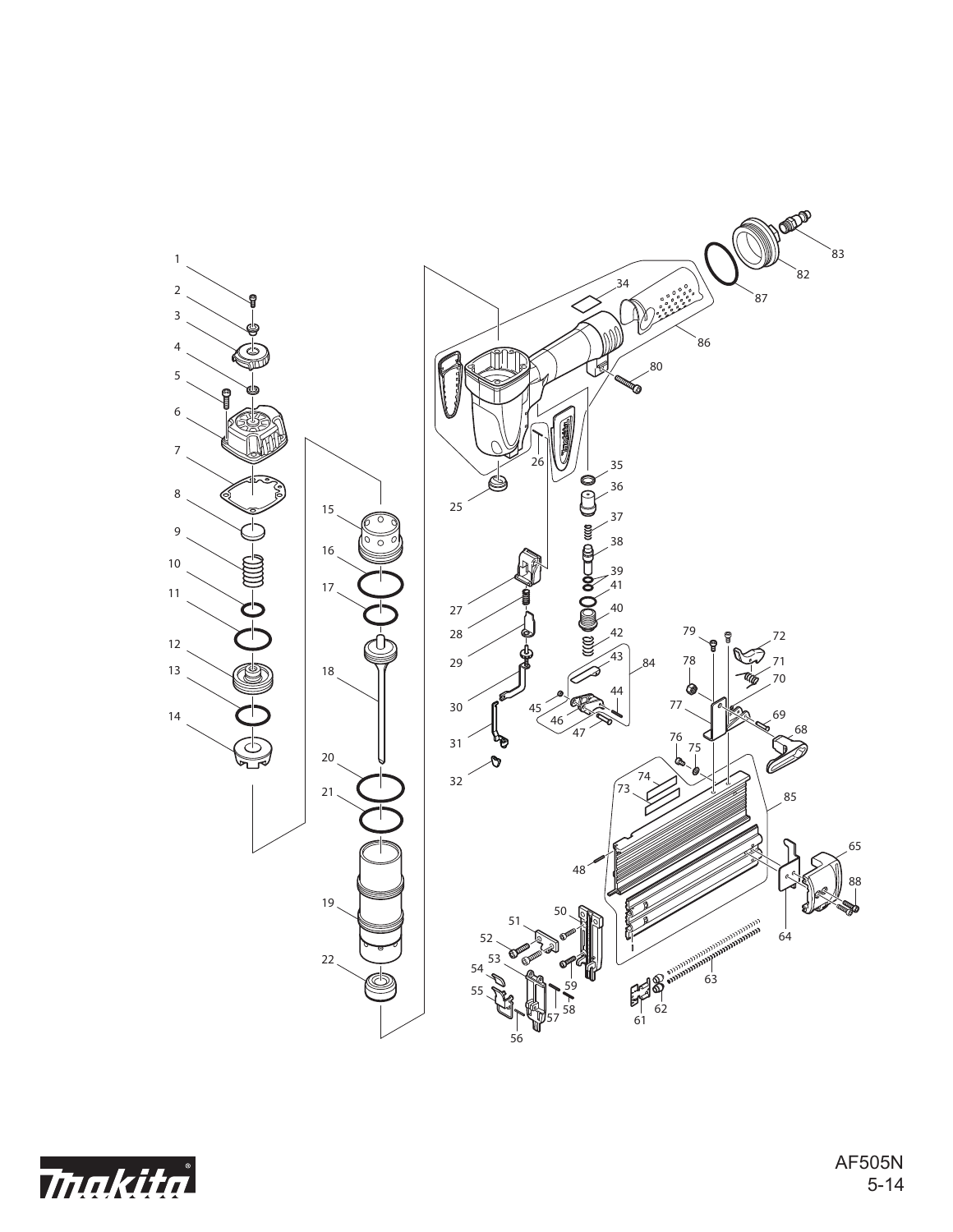

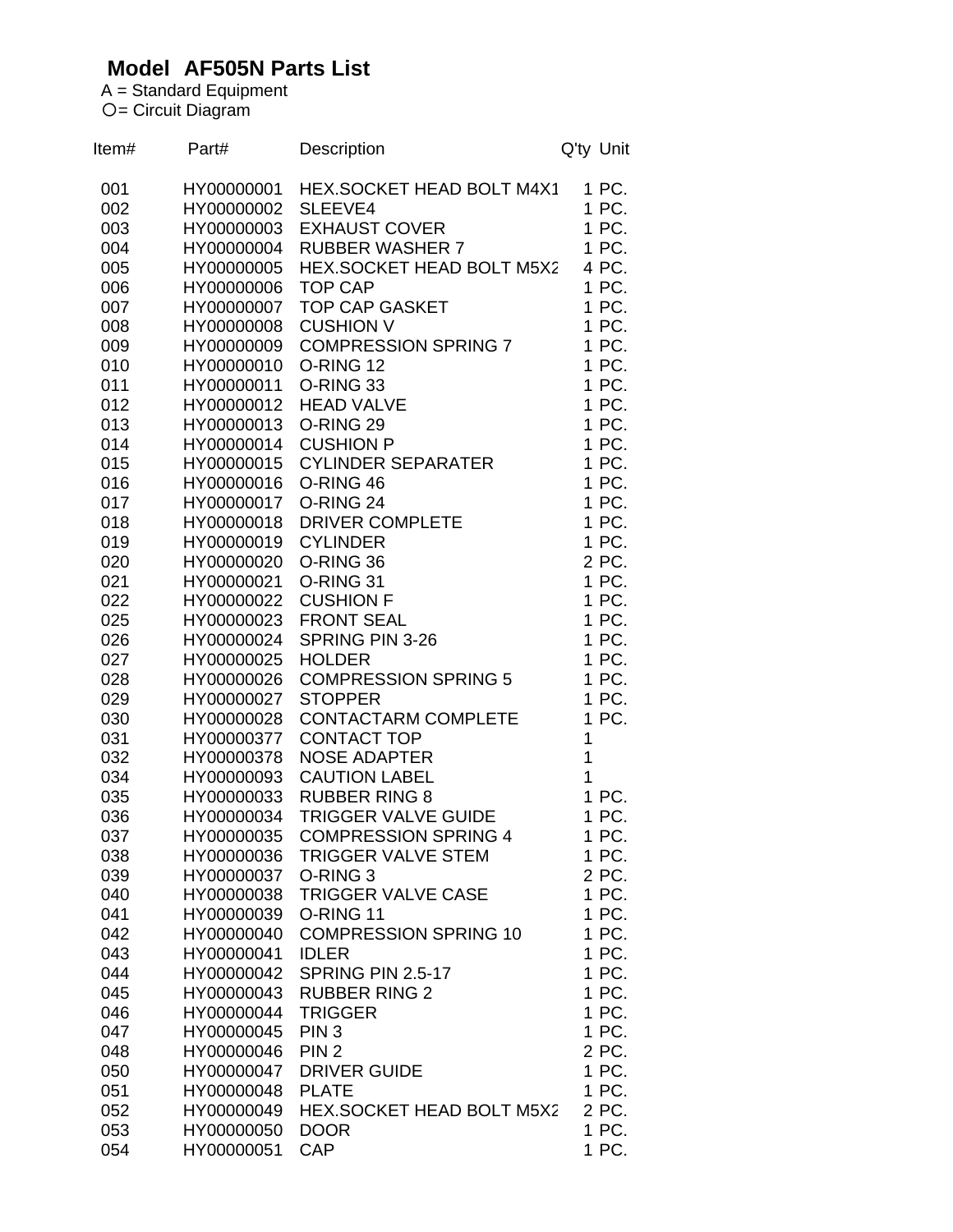## **Model AF505N Parts List**

A = Standard Equipment 〇= Circuit Diagram

| Item#      | Part#                    | Description                               | Q'ty Unit      |
|------------|--------------------------|-------------------------------------------|----------------|
| 001        | HY00000001               | <b>HEX.SOCKET HEAD BOLT M4X1</b>          | 1 PC.          |
| 002        | HY00000002               | SLEEVE4                                   | 1 PC.          |
| 003        | HY00000003               | <b>EXHAUST COVER</b>                      | 1 PC.          |
| 004        | HY00000004               | <b>RUBBER WASHER 7</b>                    | 1 PC.          |
| 005        | HY00000005               | HEX.SOCKET HEAD BOLT M5X2                 | 4 PC.          |
| 006        | HY00000006               | <b>TOP CAP</b>                            | 1 PC.          |
| 007        | HY00000007               | <b>TOP CAP GASKET</b>                     | 1 PC.          |
| 008        | HY00000008               | <b>CUSHION V</b>                          | 1 PC.          |
| 009        | HY00000009               | <b>COMPRESSION SPRING 7</b>               | 1 PC.          |
| 010        | HY00000010               | O-RING 12                                 | 1 PC.          |
| 011        | HY00000011               | O-RING 33                                 | 1 PC.          |
| 012        | HY00000012               | <b>HEAD VALVE</b>                         | 1 PC.          |
| 013        | HY00000013               | O-RING 29                                 | 1 PC.          |
| 014        | HY00000014               | <b>CUSHION P</b>                          | 1 PC.          |
| 015        | HY00000015               | <b>CYLINDER SEPARATER</b>                 | 1 PC.          |
| 016        | HY00000016               | O-RING 46                                 | 1 PC.          |
| 017        | HY00000017               | O-RING 24                                 | 1 PC.          |
| 018        | HY00000018<br>HY00000019 | <b>DRIVER COMPLETE</b><br><b>CYLINDER</b> | 1 PC.<br>1 PC. |
| 019<br>020 | HY00000020               | O-RING 36                                 | 2 PC.          |
| 021        | HY00000021               | O-RING 31                                 | 1 PC.          |
| 022        | HY00000022               | <b>CUSHION F</b>                          | 1 PC.          |
| 025        | HY00000023               | <b>FRONT SEAL</b>                         | 1 PC.          |
| 026        | HY00000024               | SPRING PIN 3-26                           | 1 PC.          |
| 027        | HY00000025               | <b>HOLDER</b>                             | 1 PC.          |
| 028        | HY00000026               | <b>COMPRESSION SPRING 5</b>               | 1 PC.          |
| 029        | HY00000027               | <b>STOPPER</b>                            | 1 PC.          |
| 030        | HY00000028               | <b>CONTACTARM COMPLETE</b>                | 1 PC.          |
| 031        | HY00000377               | <b>CONTACT TOP</b>                        | 1              |
| 032        | HY00000378               | <b>NOSE ADAPTER</b>                       | 1              |
| 034        | HY00000093               | <b>CAUTION LABEL</b>                      | 1              |
| 035        | HY00000033               | <b>RUBBER RING 8</b>                      | 1 PC.          |
| 036        | HY00000034               | <b>TRIGGER VALVE GUIDE</b>                | 1 PC.          |
| 037        | HY00000035               | <b>COMPRESSION SPRING 4</b>               | 1 PC.          |
| 038        | HY00000036               | <b>TRIGGER VALVE STEM</b>                 | 1 PC.          |
| 039        | HY00000037               | O-RING <sub>3</sub>                       | 2 PC.          |
| 040        | HY00000038               | <b>TRIGGER VALVE CASE</b>                 | 1 PC.          |
| 041        | HY00000039               | O-RING 11                                 | 1 PC.          |
| 042        | HY00000040               | <b>COMPRESSION SPRING 10</b>              | 1 PC.          |
| 043        | HY00000041               | <b>IDLER</b>                              | 1 PC.          |
| 044        | HY00000042               | SPRING PIN 2.5-17                         | 1 PC.          |
| 045        | HY00000043               | <b>RUBBER RING 2</b>                      | 1 PC.          |
| 046        | HY00000044               | <b>TRIGGER</b>                            | 1 PC.          |
| 047        | HY00000045               | PIN <sub>3</sub>                          | 1 PC.          |
| 048        | HY00000046               | PIN <sub>2</sub>                          | 2 PC.          |
| 050        | HY00000047               | <b>DRIVER GUIDE</b>                       | 1 PC.          |
| 051        | HY00000048               | <b>PLATE</b>                              | 1 PC.          |
| 052        | HY00000049               | HEX.SOCKET HEAD BOLT M5X2                 | 2 PC.          |
| 053<br>054 | HY00000050<br>HY00000051 | <b>DOOR</b><br><b>CAP</b>                 | 1 PC.<br>1 PC. |